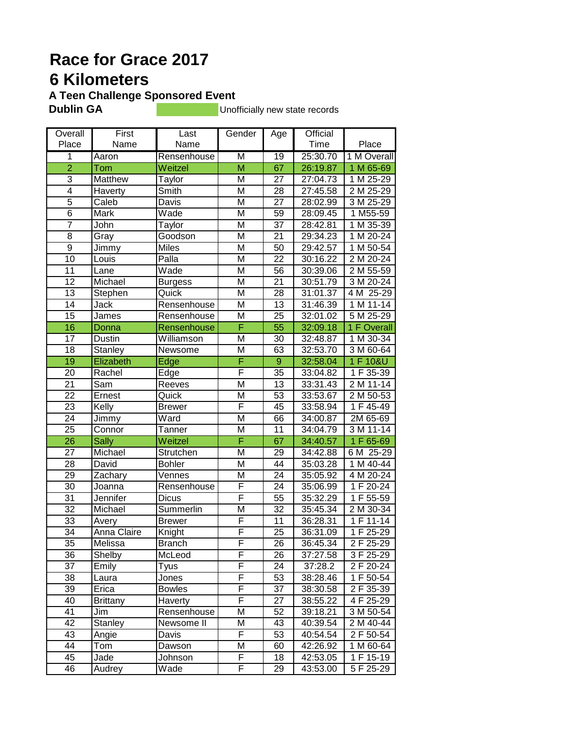# **Race for Grace 2017 6 Kilometers**

**A Teen Challenge Sponsored Event**<br>**Dublin GA** 

**Unofficially new state records** 

| Overall                 | First              | Last           | Gender                  | Age             | Official |               |
|-------------------------|--------------------|----------------|-------------------------|-----------------|----------|---------------|
| Place                   | Name               | Name           |                         |                 | Time     | Place         |
| $\overline{\mathbf{1}}$ | Aaron              | Rensenhouse    | $\overline{\mathsf{M}}$ | $\overline{19}$ | 25:30.70 | 1 M Overall   |
| $\overline{2}$          | Tom                | Weitzel        | $\overline{M}$          | 67              | 26:19.87 | 1 M 65-69     |
| 3                       | Matthew            | Taylor         | M                       | 27              | 27:04.73 | 1 M 25-29     |
| $\overline{4}$          | Haverty            | Smith          | M                       | 28              | 27:45.58 | 2 M 25-29     |
| $\overline{5}$          | Caleb              | Davis          | M                       | 27              | 28:02.99 | 3 M 25-29     |
| $\overline{6}$          | Mark               | Wade           | M                       | 59              | 28:09.45 | $1 M55-59$    |
| $\overline{7}$          | John               | Taylor         | M                       | 37              | 28:42.81 | 1 M 35-39     |
| 8                       | Gray               | Goodson        | M                       | 21              | 29:34.23 | 1 M 20-24     |
| $\boldsymbol{9}$        | Jimmy              | <b>Miles</b>   | M                       | 50              | 29:42.57 | 1 M 50-54     |
| 10                      | Louis              | Palla          | M                       | 22              | 30:16.22 | 2 M 20-24     |
| 11                      | Lane               | Wade           | M                       | 56              | 30:39.06 | 2 M 55-59     |
| 12                      | Michael            | <b>Burgess</b> | M                       | 21              | 30:51.79 | 3 M 20-24     |
| $\overline{13}$         | Stephen            | Quick          | M                       | 28              | 31:01.37 | 4 M 25-29     |
| 14                      | Jack               | Rensenhouse    | M                       | 13              | 31:46.39 | 1 M 11-14     |
| 15                      | James              | Rensenhouse    | M                       | 25              | 32:01.02 | 5 M 25-29     |
| 16                      | Donna              | Rensenhouse    | F                       | 55              | 32:09.18 | 1 F Overall   |
| 17                      | Dustin             | Williamson     | M                       | 30              | 32:48.87 | 1 M 30-34     |
| $\overline{18}$         | Stanley            | Newsome        | M                       | 63              | 32:53.70 | 3 M 60-64     |
| $\overline{19}$         | Elizabeth          | Edge           | Ē                       | $\overline{9}$  | 32:58.04 | 1 F 10&U      |
| 20                      | Rachel             | Edge           | F                       | 35              | 33:04.82 | $1 F 35 - 39$ |
| $\overline{21}$         | Sam                | Reeves         | $\overline{\mathsf{M}}$ | 13              | 33:31.43 | $2 M 11 - 14$ |
| $\overline{22}$         | Ernest             | Quick          | M                       | 53              | 33:53.67 | 2 M 50-53     |
| $\overline{23}$         | Kelly              | <b>Brewer</b>  | F                       | 45              | 33:58.94 | 1 F 45-49     |
| $\overline{24}$         | Jimmy              | Ward           | M                       | 66              | 34:00.87 | 2M 65-69      |
| $\overline{25}$         | Connor             | Tanner         | M                       | 11              | 34:04.79 | 3 M 11-14     |
| $\overline{26}$         | <b>Sally</b>       | Weitzel        | F                       | 67              | 34:40.57 | 1 F 65-69     |
| 27                      | Michael            | Strutchen      | M                       | 29              | 34:42.88 | 6 M 25-29     |
| 28                      | David              | <b>Bohler</b>  | M                       | 44              | 35:03.28 | 1 M 40-44     |
| 29                      | Zachary            | Vennes         | M                       | 24              | 35:05.92 | 4 M 20-24     |
| 30                      | Joanna             | Rensenhouse    | F                       | 24              | 35:06.99 | 1 F 20-24     |
| $\overline{31}$         | Jennifer           | <b>Dicus</b>   | F                       | 55              | 35:32.29 | 1F 55-59      |
| 32                      | Michael            | Summerlin      | M                       | 32              | 35:45.34 | 2 M 30-34     |
| 33                      | Avery              | <b>Brewer</b>  | F                       | 11              | 36:28.31 | 1 F 11-14     |
| $\overline{34}$         | <b>Anna Claire</b> | Knight         | F                       | $\overline{25}$ | 36:31.09 | 1 F 25-29     |
| 35                      | Melissa            | <b>Branch</b>  | F                       | 26              | 36:45.34 | 2 F 25-29     |
| 36                      | Shelby             | McLeod         | F                       | 26              | 37:27.58 | 3 F 25-29     |
| 37                      | Emily              | Tyus           | F                       | 24              | 37:28.2  | 2 F 20-24     |
| 38                      | Laura              | Jones          | F                       | 53              | 38:28.46 | 1 F 50-54     |
| 39                      | Erica              | <b>Bowles</b>  | F                       | 37              | 38:30.58 | 2 F 35-39     |
| 40                      | <b>Brittany</b>    | Haverty        | F                       | 27              | 38:55.22 | 4 F 25-29     |
| 41                      | Jim                | Rensenhouse    | Μ                       | 52              | 39:18.21 | 3 M 50-54     |
| 42                      | Stanley            | Newsome II     | Μ                       | 43              | 40:39.54 | 2 M 40-44     |
| 43                      | Angie              | Davis          | F                       | 53              | 40:54.54 | 2 F 50-54     |
| 44                      | Tom                | Dawson         | M                       | 60              | 42:26.92 | 1 M 60-64     |
| 45                      | Jade               | Johnson        | F                       | 18              | 42:53.05 | 1 F 15-19     |
| 46                      | Audrey             | Wade           | F                       | 29              | 43:53.00 | 5 F 25-29     |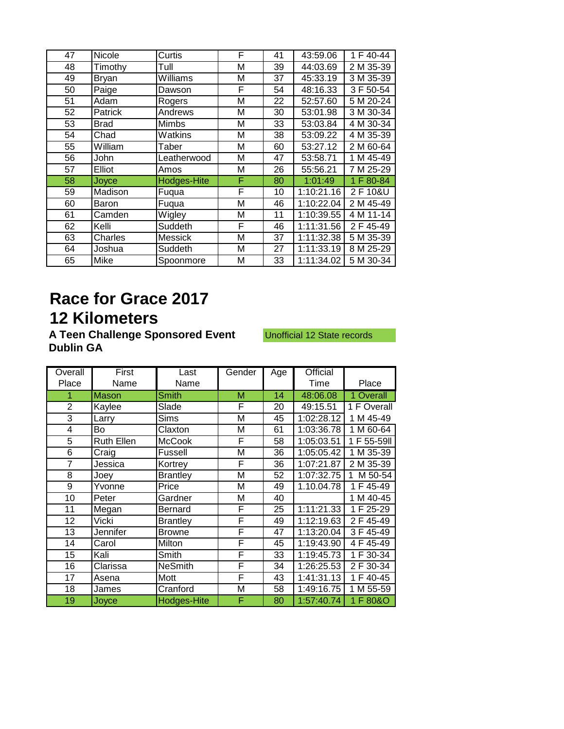| 47 | Nicole       | Curtis             | F | 41 | 43:59.06   | 1 F 40-44 |
|----|--------------|--------------------|---|----|------------|-----------|
| 48 | Timothy      | Tull               | М | 39 | 44:03.69   | 2 M 35-39 |
| 49 | <b>Bryan</b> | Williams           | М | 37 | 45:33.19   | 3 M 35-39 |
| 50 | Paige        | Dawson             | F | 54 | 48:16.33   | 3 F 50-54 |
| 51 | Adam         | Rogers             | Μ | 22 | 52:57.60   | 5 M 20-24 |
| 52 | Patrick      | Andrews            | Μ | 30 | 53:01.98   | 3 M 30-34 |
| 53 | <b>Brad</b>  | Mimbs              | М | 33 | 53:03.84   | 4 M 30-34 |
| 54 | Chad         | Watkins            | Μ | 38 | 53:09.22   | 4 M 35-39 |
| 55 | William      | Taber              | М | 60 | 53:27.12   | 2 M 60-64 |
| 56 | John         | Leatherwood        | Μ | 47 | 53:58.71   | 1 M 45-49 |
| 57 | Elliot       | Amos               | Μ | 26 | 55:56.21   | 7 M 25-29 |
| 58 | Joyce        | <b>Hodges-Hite</b> | F | 80 | 1:01:49    | 1 F 80-84 |
| 59 | Madison      | Fuqua              | F | 10 | 1:10:21.16 | 2 F 10&U  |
| 60 | Baron        | Fuqua              | М | 46 | 1:10:22.04 | 2 M 45-49 |
| 61 | Camden       | Wigley             | М | 11 | 1:10:39.55 | 4 M 11-14 |
| 62 | Kelli        | Suddeth            | F | 46 | 1:11:31.56 | 2 F 45-49 |
| 63 | Charles      | Messick            | М | 37 | 1:11:32.38 | 5 M 35-39 |
| 64 | Joshua       | Suddeth            | М | 27 | 1:11:33.19 | 8 M 25-29 |
| 65 | Mike         | Spoonmore          | М | 33 | 1:11:34.02 | 5 M 30-34 |
|    |              |                    |   |    |            |           |

# **Race for Grace 2017 12 Kilometers**

A Teen Challenge Sponsored Event Unofficial 12 State records **Dublin GA** 

| Overall        | First             | Last               | Gender | Age | Official                |                          |
|----------------|-------------------|--------------------|--------|-----|-------------------------|--------------------------|
| Place          | Name              | Name               |        |     | Time                    | Place                    |
| 1              | <b>Mason</b>      | <b>Smith</b>       | M      | 14  | 48:06.08                | 1 Overall                |
| $\overline{2}$ | Kaylee            | Slade              | F      | 20  | 49:15.51                | $\overline{1}$ F Overall |
| 3              | Larry             | Sims               | M      | 45  | 1:02:28.12              | 1 M 45-49                |
| 4              | Bo                | Claxton            | Μ      | 61  | 1:03:36.78              | 1 M 60-64                |
| 5              | <b>Ruth Ellen</b> | <b>McCook</b>      | F      | 58  | 1:05:03.51              | 1 F 55-59II              |
| 6              | Craig             | Fussell            | Μ      | 36  | 1:05:05.42              | 1 M 35-39                |
| 7              | Jessica           | Kortrey            | F      | 36  | 1:07:21.87              | 2 M 35-39                |
| 8              | Joey              | <b>Brantley</b>    | Μ      | 52  | 1:07:32.75              | M 50-54<br>1.            |
| 9              | Yvonne            | Price              | М      | 49  | 1.10.04.78              | 1 F 45-49                |
| 10             | Peter             | Gardner            | Μ      | 40  |                         | 1 M 40-45                |
| 11             | Megan             | Bernard            | F      | 25  | 1:11:21.33              | 1 F 25-29                |
| 12             | Vicki             | <b>Brantley</b>    | F      | 49  | $\overline{1:}12:19.63$ | 2 F 45-49                |
| 13             | Jennifer          | <b>Browne</b>      | F      | 47  | 1:13:20.04              | 3 F 45-49                |
| 14             | Carol             | Milton             | F      | 45  | 1:19:43.90              | 4 F 45-49                |
| 15             | Kali              | Smith              | F      | 33  | 1:19:45.73              | 1 F 30-34                |
| 16             | Clarissa          | <b>NeSmith</b>     | F      | 34  | 1:26:25.53              | 2 F 30-34                |
| 17             | Asena             | Mott               | F      | 43  | 1:41:31.13              | 1 F 40-45                |
| 18             | James             | Cranford           | Μ      | 58  | 1:49:16.75              | 1 M 55-59                |
| 19             | Joyce             | <b>Hodges-Hite</b> | F      | 80  | 1:57:40.74              | 1 F 80&O                 |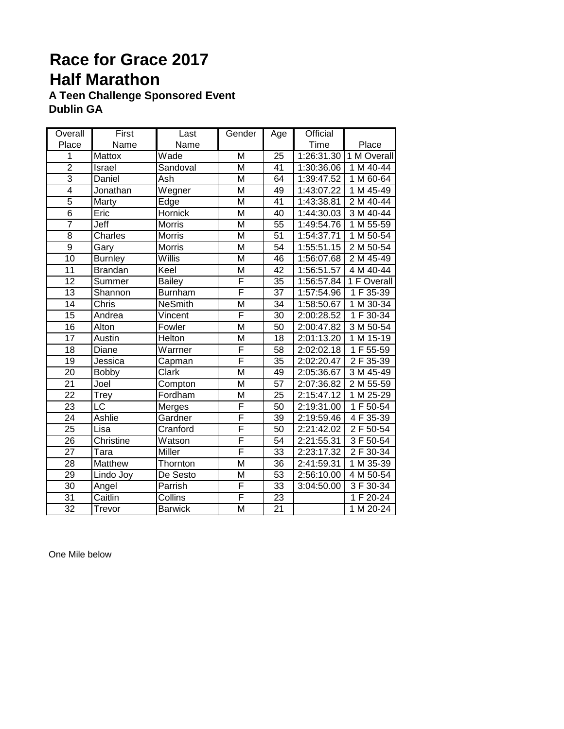### **Race for Grace 2017 Half Marathon A Teen Challenge Sponsored Event**

**Dublin GA** 

| Overall         | First          | Last           | Gender                  | Age             | Official   |                        |
|-----------------|----------------|----------------|-------------------------|-----------------|------------|------------------------|
| Place           | Name           | Name           |                         |                 | Time       | Place                  |
| 1               | Mattox         | Wade           | M                       | $\overline{25}$ | 1:26:31.30 | 1 M Overall            |
| $\overline{2}$  | Israel         | Sandoval       | M                       | 41              | 1:30:36.06 | 1 M 40-44              |
| $\overline{3}$  | Daniel         | Ash            | $\overline{\mathsf{M}}$ | 64              | 1:39:47.52 | 1 M 60-64              |
| $\overline{4}$  | Jonathan       | Wegner         | M                       | 49              | 1:43:07.22 | 1 M 45-49              |
| $\overline{5}$  | Marty          | Edge           | $\overline{\mathsf{M}}$ | 41              | 1:43:38.81 | 2 M 40-44              |
| $\overline{6}$  | Eric           | Hornick        | $\overline{\mathsf{M}}$ | 40              | 1:44:30.03 | 3 M 40-44              |
| $\overline{7}$  | Jeff           | <b>Morris</b>  | M                       | $\overline{55}$ | 1:49:54.76 | $1 M 55-59$            |
| $\overline{8}$  | Charles        | <b>Morris</b>  | M                       | $\overline{51}$ | 1:54:37.71 | 1 M 50-54              |
| $\overline{9}$  | Gary           | Morris         | M                       | 54              | 1:55:51.15 | 2 M 50-54              |
| $\overline{10}$ | <b>Burnley</b> | Willis         | M                       | 46              | 1:56:07.68 | 2 M 45-49              |
| $\overline{11}$ | <b>Brandan</b> | Keel           | M                       | $\overline{42}$ | 1:56:51.57 | $4 M 40 - 44$          |
| $\overline{12}$ | Summer         | <b>Bailey</b>  | F                       | 35              | 1:56:57.84 | 1 F Overall            |
| 13              | Shannon        | <b>Burnham</b> | F                       | $\overline{37}$ | 1:57:54.96 | $1 F 35 - 39$          |
| 14              | Chris          | <b>NeSmith</b> | M                       | 34              | 1:58:50.67 | 1 M 30-34              |
| $\overline{15}$ | Andrea         | Vincent        | F                       | 30              | 2:00:28.52 | 1 F 30-34              |
| $\overline{16}$ | Alton          | Fowler         | $\overline{\mathsf{M}}$ | $\overline{50}$ | 2:00:47.82 | 3 M 50-54              |
| $\overline{17}$ | Austin         | Helton         | $\overline{\mathsf{M}}$ | $\overline{18}$ | 2:01:13.20 | 1 M 15-19              |
| $\overline{18}$ | Diane          | Warrner        | F                       | $\overline{58}$ | 2:02:02.18 | 1 F 55-59              |
| 19              | Jessica        | Capman         | F                       | $\overline{35}$ | 2:02:20.47 | 2 F 35-39              |
| $\overline{20}$ | <b>Bobby</b>   | <b>Clark</b>   | $\overline{\mathsf{M}}$ | 49              | 2:05:36.67 | 3 M 45-49              |
| $\overline{21}$ | Joel           | Compton        | $\overline{\mathsf{M}}$ | $\overline{57}$ | 2:07:36.82 | 2 M 55-59              |
| $\overline{22}$ | Trey           | Fordham        | $\overline{\mathsf{M}}$ | $\overline{25}$ | 2:15:47.12 | $1 M 25-29$            |
| 23              | LC             | Merges         | F                       | 50              | 2:19:31.00 | 1 F 50-54              |
| $\overline{24}$ | <b>Ashlie</b>  | Gardner        | F                       | 39              | 2:19:59.46 | $\overline{4}$ F 35-39 |
| $\overline{25}$ | Lisa           | Cranford       | F                       | $\overline{50}$ | 2:21:42.02 | 2 F 50-54              |
| $\overline{26}$ | Christine      | Watson         | F                       | $\overline{54}$ | 2:21:55.31 | 3 F 50-54              |
| $\overline{27}$ | Tara           | Miller         | F                       | 33              | 2:23:17.32 | 2 F 30-34              |
| $\overline{28}$ | Matthew        | Thornton       | $\overline{\mathsf{M}}$ | 36              | 2:41:59.31 | 1 M 35-39              |
| 29              | Lindo Joy      | De Sesto       | M                       | 53              | 2:56:10.00 | 4 M 50-54              |
| $\overline{30}$ | Angel          | Parrish        | F                       | 33              | 3:04:50.00 | 3 F 30-34              |
| 31              | Caitlin        | Collins        | F                       | 23              |            | 1 F 20-24              |
| $\overline{32}$ | Trevor         | <b>Barwick</b> | $\overline{\mathsf{M}}$ | $\overline{21}$ |            | 1 M 20-24              |

One Mile below